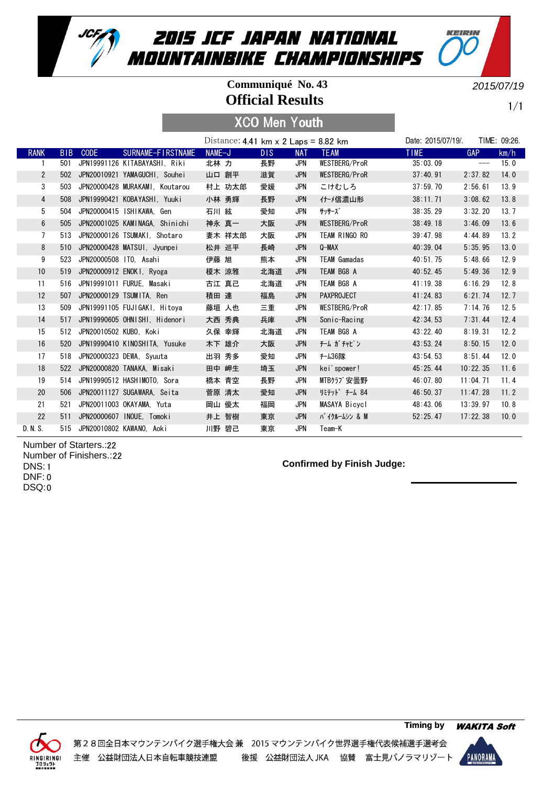

#### **Official Results Communiqué No. 43**

2015/07/19

KEIRIN

1/1

# XCO Men Youth

|                 |            |                            |                                   | Distance: $4.41 \text{ km} \times 2 \text{ Laps} = 8.82 \text{ km}$ |     |            |                     | Date: 2015/07/19/. |                   | TIME: 09:26. |
|-----------------|------------|----------------------------|-----------------------------------|---------------------------------------------------------------------|-----|------------|---------------------|--------------------|-------------------|--------------|
| <b>RANK</b>     | <b>BIB</b> | <b>CODE</b>                | SURNAME-FIRSTNAME                 | NAME-J                                                              | DIS | <b>NAT</b> | <b>TEAM</b>         | <b>TIME</b>        | <b>GAP</b>        | km/h         |
|                 | 501        |                            | JPN19991126 KITABAYASHI, Riki     | 北林 力                                                                | 長野  | <b>JPN</b> | WESTBERG/ProR       | 35:03.09           | $\qquad \qquad -$ | 15.0         |
| $\overline{2}$  |            |                            | 502 JPN20010921 YAMAGUCHI, Souhei | 山口 創平                                                               | 滋賀  | <b>JPN</b> | WESTBERG/ProR       | 37:40.91           | 2:37.82           | 14.0         |
| 3               | 503        |                            | JPN20000428 MURAKAMI, Koutarou    | 村上 功太郎                                                              | 愛媛  | <b>JPN</b> | こけむしろ               | 37:59.70           | 2:56.61           | 13.9         |
| $\overline{4}$  | 508        |                            | JPN19990421 KOBAYASHI, Yuuki      | 小林 勇輝                                                               | 長野  | <b>JPN</b> | 什−メ信濃山形             | 38:11.71           | 3:08.62           | 13.8         |
| 5               | 504        |                            | JPN20000415 ISHIKAWA. Gen         | 石川 絃                                                                | 愛知  | JPN        | サッサーズ゛              | 38:35.29           | 3:32.20           | 13.7         |
| $6\phantom{.}6$ | 505        |                            | JPN20001025 KAMINAGA, Shinichi    | 神永 真一                                                               | 大阪  | <b>JPN</b> | WESTBERG/ProR       | 38:49.18           | 3:46.09           | 13.6         |
| $\overline{7}$  | 513        |                            | JPN20000126 TSUMAKI, Shotaro      | 妻木 祥太郎                                                              | 大阪  | JPN        | TEAM RINGO RO       | 39:47.98           | 4:44.89           | 13.2         |
| 8               | 510        |                            | JPN20000428 MATSUI, Jyunpei       | 松井 巡平                                                               | 長崎  | <b>JPN</b> | $Q-MAX$             | 40:39.04           | 5:35.95           | 13.0         |
| 9               | 523        | JPN20000508 ITO, Asahi     |                                   | 伊藤 旭                                                                | 熊本  | JPN        | <b>TEAM Gamadas</b> | 40:51.75           | 5:48.66           | 12.9         |
| 10              | 519        |                            | JPN20000912 ENOKI, Ryoga          | 榎木 涼雅                                                               | 北海道 | <b>JPN</b> | TEAM BG8 A          | 40:52.45           | 5:49.36           | 12.9         |
| 11              | 516        |                            | JPN19991011 FURUE. Masaki         | 古江 真己                                                               | 北海道 | <b>JPN</b> | TEAM BG8 A          | 41:19.38           | 6:16.29           | 12.8         |
| 12              | 507        |                            | JPN20000129 TSUMITA. Ren          | 積田 連                                                                | 福島  | <b>JPN</b> | <b>PAXPROJECT</b>   | 41:24.83           | 6:21.74           | 12.7         |
| 13              | 509        |                            | JPN19991105 FUJIGAKI, Hitoya      | 藤垣 人也                                                               | 三重  | <b>JPN</b> | WESTBERG/ProR       | 42:17.85           | 7:14.76           | 12.5         |
| 14              | 517        |                            | JPN19990605 OHNISHI, Hidenori     | 大西 秀典                                                               | 兵庫  | <b>JPN</b> | Sonic-Racing        | 42:34.53           | 7:31.44           | 12.4         |
| 15              |            | 512 JPN20010502 KUB0, Koki |                                   | 久保 幸輝                                                               | 北海道 | JPN        | TEAM BG8 A          | 43:22.40           | 8:19.31           | 12.2         |
| 16              | 520        |                            | JPN19990410 KINOSHITA, Yusuke     | 木下 雄介                                                               | 大阪  | <b>JPN</b> | チーム ガチャピン           | 43:53.24           | 8:50.15           | 12.0         |
| 17              | 518        |                            | JPN20000323 DEWA, Syuuta          | 出羽 秀多                                                               | 愛知  | <b>JPN</b> | f-436隊              | 43:54.53           | 8:51.44           | 12.0         |
| 18              |            |                            | 522 JPN20000820 TANAKA, Misaki    | 田中 岬生                                                               | 埼玉  | <b>JPN</b> | kei'spower!         | 45:25.44           | 10:22.35          | 11.6         |
| 19              | 514        |                            | JPN19990512 HASHIMOTO, Sora       | 橋本 青空                                                               | 長野  | JPN        | MTBクラブ安曇野           | 46:07.80           | 11:04.71          | 11.4         |
| 20              | 506        |                            | JPN20011127 SUGAWARA, Seita       | 菅原 清太                                                               | 愛知  | <b>JPN</b> | リミテット゛ チーム 84       | 46:50.37           | 11:47.28          | 11.2         |
| 21              | 521        |                            | JPN20011003 OKAYAMA, Yuta         | 岡山 優太                                                               | 福岡  | JPN        | MASAYA Bicycl       | 48:43.06           | 13:39.97          | 10.8         |
| 22              | 511        |                            | JPN20000607 INOUE, Tomoki         | 井上 智樹                                                               | 東京  | <b>JPN</b> | バ イクルームシン & M       | 52:25.47           | 17:22.38          | 10.0         |
| D. N. S.        |            |                            | 515 JPN20010802 KAWANO. Aoki      | 川野 碧己                                                               | 東京  | <b>JPN</b> | Team-K              |                    |                   |              |

22 Number of Starters.: 22 Number of Finishers.: 1 DNS: 0 DNF: 0 DSQ:

#### **Confirmed by Finish Judge:**



第28回全日本マウンテンバイク選手権大会兼 2015 マウンテンバイク世界選手権代表候補選手選考会 後援 公益財団法人 JKA 協賛 富士見パノラマリゾート 主催 公益財団法人日本自転車競技連盟

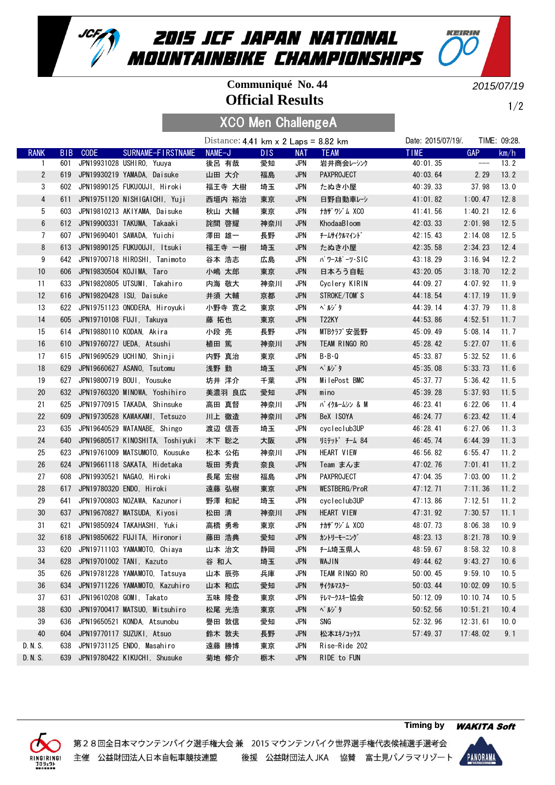

## **Official Results Communiqué No. 44**

2015/07/19

KEIRIN

1/2

| <b>XCO Men ChallengeA</b> |  |
|---------------------------|--|
|---------------------------|--|

|                |     |          |                                    | Distance: 4.41 km $\times$ 2 Laps = 8.82 km |      |            |                   | Date: 2015/07/19/. |                               | TIME: 09:28. |
|----------------|-----|----------|------------------------------------|---------------------------------------------|------|------------|-------------------|--------------------|-------------------------------|--------------|
| <b>RANK</b>    |     | BIB CODE | SURNAME-FIRSTNAME                  | NAME-J                                      | DIS. | <b>NAT</b> | <b>TEAM</b>       | <b>TIME</b>        | <b>GAP</b>                    | km/h         |
| -1             | 601 |          | JPN19931028 USHIRO, Yuuya          | 後呂 有哉                                       | 愛知   | JPN        | 岩井商会レーシンク         | 40:01.35           | $\hspace{1.5cm} \textbf{---}$ | 13.2         |
| $\overline{2}$ |     |          | 619 JPN19930219 YAMADA, Daisuke    | 山田 大介                                       | 福島   | <b>JPN</b> | <b>PAXPROJECT</b> | 40:03.64           | 2.29                          | 13.2         |
| 3              |     |          | 602 JPN19890125 FUKUOUJI, Hiroki   | 福王寺 大樹                                      | 埼玉   | JPN        | たぬき小屋             | 40:39.33           | 37.98                         | 13.0         |
| $\overline{4}$ | 611 |          | JPN19751120 NISHIGAICHI, Yuji      | 西垣内 裕治                                      | 東京   | <b>JPN</b> | 日野自動車レシ           | 41:01.82           | 1:00.47                       | 12.8         |
| 5              |     |          | 603 JPN19810213 AKIYAMA, Daisuke   | 秋山 大輔                                       | 東京   | <b>JPN</b> | ナカザワジム XCO        | 41:41.56           | 1:40.21                       | 12.6         |
| 6              |     |          | 612 JPN19900331 TAKUMA, Takaaki    | 詫間 啓耀                                       | 神奈川  | <b>JPN</b> | KhodaaBloom       | 42:03.33           | 2:01.98                       | 12.5         |
| 7              | 607 |          | JPN19690401 SAWADA, Yuichi         | 澤田 雄一                                       | 長野   | JPN        | チームサイクルマイント゛      | 42:15.43           | 2:14.08                       | 12.5         |
| 8              | 613 |          | JPN19890125 FUKUOUJI, Itsuki       | 福王寺 一樹                                      | 埼玉   | <b>JPN</b> | たぬき小屋             | 42:35.58           | 2:34.23                       | 12.4         |
| 9              | 642 |          | JPN19700718 HIROSHI, Tanimoto      | 谷本 浩志                                       | 広島   | JPN        | パ ワースポ ーツ・SIC     | 43:18.29           | 3:16.94                       | 12.2         |
| 10             | 606 |          | JPN19830504 KOJIMA, Taro           | 小嶋 太郎                                       | 東京   | <b>JPN</b> | 日本ろう自転            | 43:20.05           | 3:18.70                       | 12.2         |
| 11             | 633 |          | JPN19820805 UTSUMI, Takahiro       | 内海 敬大                                       | 神奈川  | JPN        | Cyclery KIRIN     | 44:09.27           | 4:07.92                       | 11.9         |
| 12             |     |          | 616 JPN19820428 ISU, Daisuke       | 井須 大輔                                       | 京都   | <b>JPN</b> | STROKE/TOM'S      | 44:18.54           | 4:17.19                       | 11.9         |
| 13             |     |          | 622 JPN19751123 ONODERA, Hiroyuki  | 小野寺 寛之                                      | 東京   | JPN        | ペル・タ              | 44:39.14           | 4:37.79                       | 11.8         |
| 14             |     |          | 605 JPN19710108 FUJI, Takuya       | 藤 拓也                                        | 東京   | <b>JPN</b> | T22KY             | 44:53.86           | 4:52.51                       | 11.7         |
| 15             |     |          | 614 JPN19880110 KODAN, Akira       | 小段 亮                                        | 長野   | <b>JPN</b> | MTBクラブ安曇野         | 45:09.49           | 5:08.14                       | 11.7         |
| 16             | 610 |          | JPN19760727 UEDA, Atsushi          | 植田 篤                                        | 神奈川  | <b>JPN</b> | TEAM RINGO RO     | 45:28.42           | 5:27.07                       | 11.6         |
| 17             |     |          | 615 JPN19690529 UCHINO, Shinji     | 内野 真治                                       | 東京   | <b>JPN</b> | $B - B - Q$       | 45:33.87           | 5:32.52                       | 11.6         |
| 18             | 629 |          | JPN19660627 ASANO, Tsutomu         | 浅野 勤                                        | 埼玉   | <b>JPN</b> | <b>ペルジタ</b>       | 45:35.08           | 5:33.73                       | 11.6         |
| 19             | 627 |          | JPN19800719 BOUI, Yousuke          | 坊井 洋介                                       | 千葉   | JPN        | MilePost BMC      | 45:37.77           | 5:36.42                       | 11.5         |
| 20             | 632 |          | JPN19760320 MINOWA, Yoshihiro      | 美濃羽 良広                                      | 愛知   | <b>JPN</b> | mino              | 45:39.28           | 5:37.93                       | 11.5         |
| 21             | 625 |          | JPN19770915 TAKADA, Shinsuke       | 高田 真督                                       | 神奈川  | JPN        | バ イクルームシン & M     | 46:23.41           | 6:22.06                       | 11.4         |
| 22             | 609 |          | JPN19730528 KAWAKAMI, Tetsuzo      | 川上 徹造                                       | 神奈川  | <b>JPN</b> | BeX ISOYA         | 46:24.77           | 6:23.42                       | 11.4         |
| 23             | 635 |          | JPN19640529 WATANABE, Shingo       | 渡辺 信吾                                       | 埼玉   | <b>JPN</b> | cycleclub3UP      | 46:28.41           | 6:27.06                       | 11.3         |
| 24             | 640 |          | JPN19680517 KINOSHITA, Toshiyuki   | 木下 聡之                                       | 大阪   | <b>JPN</b> | リミテット゛ チーム 84     | 46:45.74           | 6:44.39                       | 11.3         |
| 25             |     |          | 623 JPN19761009 MATSUMOTO, Kousuke | 松本 公佑                                       | 神奈川  | <b>JPN</b> | HEART VIEW        | 46:56.82           | 6:55.47                       | 11.2         |
| 26             | 624 |          | JPN19661118 SAKATA, Hidetaka       | 坂田 秀貴                                       | 奈良   | <b>JPN</b> | Team まんま          | 47:02.76           | 7:01.41                       | 11.2         |
| 27             | 608 |          | JPN19930521 NAGAO, Hiroki          | 長尾 宏樹                                       | 福島   | <b>JPN</b> | PAXPROJECT        | 47:04.35           | 7:03.00                       | 11.2         |
| 28             | 617 |          | JPN19780320 ENDO, Hiroki           | 遠藤 弘樹                                       | 東京   | <b>JPN</b> | WESTBERG/ProR     | 47:12.71           | 7:11.36                       | 11.2         |
| 29             | 641 |          | JPN19700803 NOZAWA, Kazunori       | 野澤 和紀                                       | 埼玉   | JPN        | cycleclub3UP      | 47:13.86           | 7:12.51                       | 11.2         |
| 30             |     |          | 637 JPN19670827 MATSUDA, Kiyosi    | 松田 清                                        | 神奈川  | <b>JPN</b> | HEART VIEW        | 47:31.92           | 7:30.57                       | 11.1         |
| 31             | 621 |          | JPN19850924 TAKAHASHI, Yuki        | 高橋 勇希                                       | 東京   | JPN        | ナカザワジム XCO        | 48:07.73           | 8:06.38                       | 10.9         |
| 32             |     |          | 618 JPN19850622 FUJITA, Hironori   | 藤田 浩典                                       | 愛知   | <b>JPN</b> | カントリーモーニング        | 48:23.13           | 8:21.78                       | 10.9         |
| 33             |     |          | 620 JPN19711103 YAMAMOTO, Chiaya   | 山本 治文                                       | 静岡   | <b>JPN</b> | <b>f-ム埼玉県人</b>    | 48:59.67           | 8:58.32                       | 10.8         |
| 34             | 628 |          | JPN19701002 TANI, Kazuto           | 谷 和人                                        | 埼玉   | <b>JPN</b> | WAJIN             | 49:44.62           | 9:43.27                       | 10.6         |
| 35             | 626 |          | JPN19781228 YAMAMOTO, Tatsuya      | 山本 辰弥                                       | 兵庫   | JPN        | TEAM RINGO RO     | 50:00.45           | 9:59.10                       | 10.5         |
| 36             | 634 |          | JPN19711226 YAMAMOTO, Kazuhiro     | 山本 和広                                       | 愛知   | <b>JPN</b> | サイクルマスター          | 50:03.44           | 10:02.09                      | 10.5         |
| 37             | 631 |          | JPN19610208 GOMI, Takato           | 五味 隆登                                       | 東京   | JPN        | テレマークスキー協会        | 50:12.09           | 10:10.74                      | 10.5         |
| 38             | 630 |          | JPN19700417 MATSUO, Mitsuhiro      | 松尾 光浩                                       | 東京   | <b>JPN</b> | ペルゾタ              | 50:52.56           | 10:51.21                      | 10.4         |
| 39             | 636 |          | JPN19650521 KONDA, Atsunobu        | 譽田 敦信                                       | 愛知   | JPN        | SNG               | 52:32.96           | 12:31.61                      | 10.0         |
| 40             | 604 |          | JPN19770117 SUZUKI, Atsuo          | 鈴木 敦夫                                       | 長野   | <b>JPN</b> | 松本エキノコックス         | 57:49.37           | 17:48.02                      | 9.1          |
| D. N. S.       | 638 |          | JPN19731125 ENDO, Masahiro         | 遠藤 勝博                                       | 東京   | JPN        | Rise-Ride 202     |                    |                               |              |
| D. N. S.       |     |          | 639 JPN19780422 KIKUCHI, Shusuke   | 菊地 修介                                       | 栃木   | <b>JPN</b> | RIDE to FUN       |                    |                               |              |



第28回全日本マウンテンバイク選手権大会兼 2015 マウンテンバイク世界選手権代表候補選手選考会 主催 公益財団法人日本自転車競技連盟 後援 公益財団法人 JKA 協賛 富士見パノラマリゾート

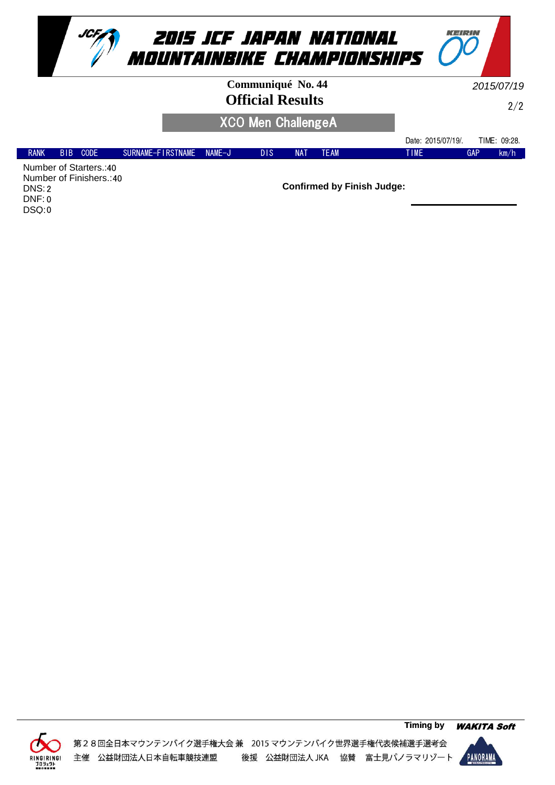



| Communiqué No. 44         | 2015/07/19 |
|---------------------------|------------|
| <b>Official Results</b>   |            |
| <b>XCO Men ChallengeA</b> |            |

KEIPIN

|                        |            |             |                   |        |     |            |      | Date: 2015/07/19/. |     | TIME:<br>09:28. |
|------------------------|------------|-------------|-------------------|--------|-----|------------|------|--------------------|-----|-----------------|
| <b>RANK</b>            | <b>BIB</b> | <b>CODE</b> | SURNAME-FIRSTNAME | NAME-J | DIS | <b>NAT</b> | TEAM | <b>TIME</b>        | GAP | km/h            |
| Number of Ctartors 140 |            |             |                   |        |     |            |      |                    |     |                 |

Number of Starters.: 40 Number of Finishers.: 40 2 DNS: 0 DNF: 0 DSQ:



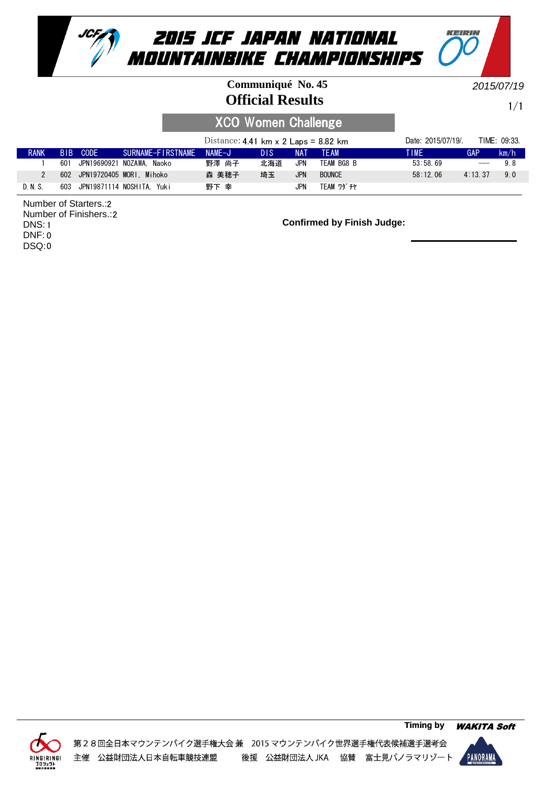

#### **Official Results Communiqué No. 45**

2015/07/19

KEIRIN

1/1

## XCO Women Challenge

|             |      |                      |                              | Distance: 4.41 km $\times$ 2 Laps = 8.82 km |            |            |                   | Date: 2015/07/19/. |                   | TIME: 09:33. |
|-------------|------|----------------------|------------------------------|---------------------------------------------|------------|------------|-------------------|--------------------|-------------------|--------------|
| <b>RANK</b> | BIB. | CODE                 | SURNAME-FIRSTNAME NAME-J     |                                             | <b>DIS</b> | <b>NAT</b> | <b>TFAM</b>       | TIME               | GAP               | km/h         |
|             | 601  |                      | JPN19690921 NOZAWA. Naoko    | 野澤 尚子                                       | 北海道        | JPN        | TEAM BG8 B        | 53:58.69           | $\qquad \qquad -$ | 98           |
|             |      |                      | 602 JPN19720405 MORI. Mihoko | 森 美穂子                                       | 埼玉         | <b>JPN</b> | <b>BOUNCE</b>     | 58:12.06           | 4:13.37           | 9.0          |
| D. N. S.    | 603  | JPN19871114 NOSHITA. | Yuki                         | 野下 幸                                        |            | JPN        | <b>TEAM ワダ チヤ</b> |                    |                   |              |

2 Number of Starters.: 2 Number of Finishers.: DNS: 1 0 DNF: 0 DSQ:



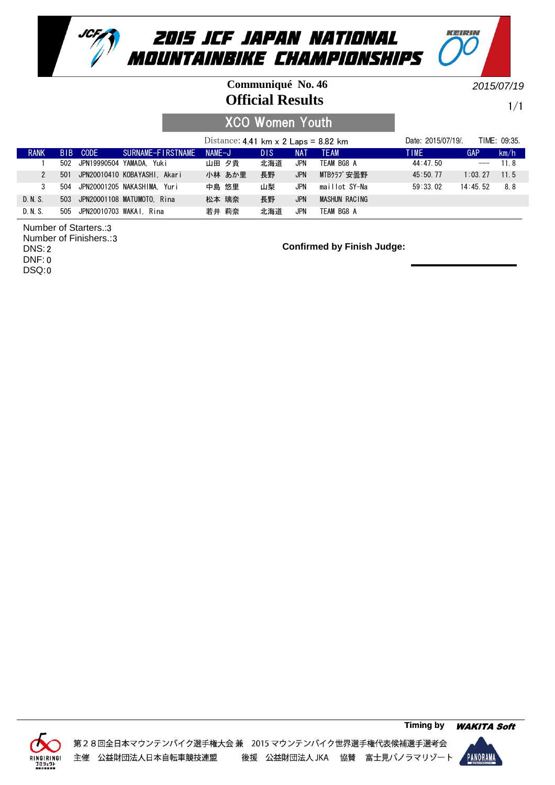

#### **Official Results Communiqué No. 46**

2015/07/19

KEIRIN

1/1

## XCO Women Youth

|             |     |          |                                | Distance: 4.41 km $\times$ 2 Laps = 8.82 km |            |            |               | Date: 2015/07/19/. |            | TIME: 09:35. |
|-------------|-----|----------|--------------------------------|---------------------------------------------|------------|------------|---------------|--------------------|------------|--------------|
| <b>RANK</b> |     | BIB CODE | SURNAME-FIRSTNAME              | $NAME-J$                                    | <b>DIS</b> | NAT        | <b>TFAM</b>   | TIME               | <b>GAP</b> | km/h         |
|             |     |          | 502 JPN19990504 YAMADA. Yuki   | 山田 夕貴                                       | 北海道        | <b>JPN</b> | TEAM BG8 A    | 44:47.50           | $---$      | 118          |
|             | 501 |          | JPN20010410 KOBAYASHI. Akari   | 小林 あか里                                      | 長野         | <b>JPN</b> | MTBクラブ安曇野     | 45:50.77           | $1:03$ 27  | 115          |
|             | 504 |          | JPN20001205 NAKASHIMA. Yuri    | 中島 悠里                                       | 山梨         | JPN        | maillot SY-Na | 59:33.02           | 14:45.52   | 8.8          |
| D. N. S.    |     |          | 503 JPN20001108 MATUMOTO, Rina | 松本 璃奈                                       | 長野         | <b>JPN</b> | MASHUN RACING |                    |            |              |
| D. N. S.    |     |          | 505 JPN20010703 WAKAI, Rina    | 若井 莉奈                                       | 北海道        | JPN        | TEAM BG8 A    |                    |            |              |

3 Number of Starters.: Number of Finishers.: 3

2 DNS:

0 DNF:

0 DSQ:



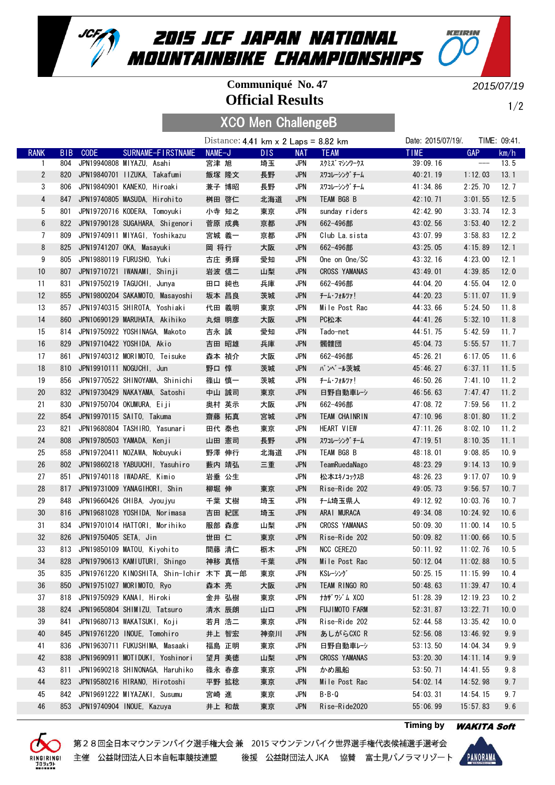

## **Official Results Communiqué No. 47**

XCO Men ChallengeB

2015/07/19

KEIRIN

 $1/2$ 

|                 |            |                       |                                          |        | Distance: $4.41$ km x 2 Laps = 8.82 km |      |            |                      | Date: 2015/07/19/. |                                     | TIME: 09:41. |
|-----------------|------------|-----------------------|------------------------------------------|--------|----------------------------------------|------|------------|----------------------|--------------------|-------------------------------------|--------------|
| <b>RANK</b>     | <b>BIB</b> | <b>CODE</b>           | SURNAME-FIRSTNAME                        | NAME-J |                                        | DIS. | <b>NAT</b> | <b>TEAM</b>          | <b>TIME</b>        | <b>GAP</b>                          | km/h         |
| 1               | 804        |                       | JPN19940808 MIYAZU, Asahi                | 宮津 旭   |                                        | 埼玉   | JPN        | スクミズ マシンワークス         | 39:09.16           | $\hspace{0.05cm}---\hspace{0.05cm}$ | 13.5         |
| $\overline{2}$  | 820        |                       | JPN19840701 IIZUKA, Takafumi             |        | 飯塚 隆文                                  | 長野   | <b>JPN</b> | スワコレーシング チーム         | 40:21.19           | 1:12.03                             | 13.1         |
| 3               | 806        |                       | JPN19840901 KANEKO, Hiroaki              |        | 兼子 博昭                                  | 長野   | <b>JPN</b> | スワコレーシング チーム         | 41:34.86           | 2:25.70                             | 12.7         |
| 4               | 847        |                       | JPN19740805 MASUDA, Hirohito             |        | 桝田 啓仁                                  | 北海道  | <b>JPN</b> | TEAM BG8 B           | 42:10.71           | 3:01.55                             | 12.5         |
| 5               | 801        |                       | JPN19720716 KODERA, Tomoyuki             |        | 小寺 知之                                  | 東京   | <b>JPN</b> | sunday riders        | 42:42.90           | 3:33.74                             | 12.3         |
| $6\phantom{.}6$ | 822        |                       | JPN19790128 SUGAHARA, Shigenori          |        | 菅原 成典                                  | 京都   | <b>JPN</b> | 662-496部             | 43:02.56           | 3:53.40                             | 12.2         |
| 7               | 809        |                       | JPN19740911 MIYAGI. Yoshikazu            |        | 宮城 義一                                  | 京都   | <b>JPN</b> | Club La sista        | 43:07.99           | 3:58.83                             | 12.2         |
| 8               | 825        |                       | JPN19741207 OKA, Masayuki                | 岡 将行   |                                        | 大阪   | <b>JPN</b> | 662-496部             | 43:25.05           | 4:15.89                             | 12.1         |
| 9               | 805        |                       | JPN19880119 FURUSHO, Yuki                |        | 古庄 勇輝                                  | 愛知   | <b>JPN</b> | One on One/SC        | 43:32.16           | 4:23.00                             | 12.1         |
| 10              | 807        |                       | JPN19710721 IWANAMI, Shinji              |        | 岩波 信二                                  | 山梨   | <b>JPN</b> | <b>CROSS YAMANAS</b> | 43:49.01           | 4:39.85                             | 12.0         |
| 11              | 831        |                       | JPN19750219 TAGUCHI, Junya               |        | 田口 純也                                  | 兵庫   | <b>JPN</b> | 662-496部             | 44:04.20           | 4:55.04                             | 12.0         |
| 12              | 855        |                       | JPN19800204 SAKAMOTO, Masayoshi          |        | 坂本 昌良                                  | 茨城   | <b>JPN</b> | チーム・フォルツァ!           | 44:20.23           | 5:11.07                             | 11.9         |
| 13              | 857        |                       | JPN19740315 SHIROTA, Yoshiaki            |        | 代田 義明                                  | 東京   | <b>JPN</b> | Mile Post Rac        | 44:33.66           | 5:24.50                             | 11.8         |
| 14              | 860        |                       | JPN10690129 MARUHATA, Akihiko            |        | 丸畑 明彦                                  | 大阪   | <b>JPN</b> | PC松本                 | 44:41.26           | 5:32.10                             | 11.8         |
| 15              | 814        |                       | JPN19750922 YOSHINAGA, Makoto            | 吉永 誠   |                                        | 愛知   | <b>JPN</b> | Tado-net             | 44:51.75           | 5:42.59                             | 11.7         |
| 16              | 829        |                       | JPN19710422 YOSHIDA, Akio                |        | 吉田 昭雄                                  | 兵庫   | <b>JPN</b> | 髑髏団                  | 45:04.73           | 5:55.57                             | 11.7         |
| 17              | 861        |                       | JPN19740312 MORIMOTO, Teisuke            |        | 森本 禎介                                  | 大阪   | <b>JPN</b> | 662-496部             | 45:26.21           | 6:17.05                             | 11.6         |
| 18              | 810        |                       | JPN19910111 NOGUCHI, Jun                 | 野口 惇   |                                        | 茨城   | <b>JPN</b> | バンベール茨城              | 45:46.27           | 6:37.11                             | 11.5         |
| 19              | 856        |                       | JPN19770522 SHINOYAMA, Shinichi          |        | 篠山 慎一                                  | 茨城   | <b>JPN</b> | チーム・フォルツァ!           | 46:50.26           | 7:41.10                             | 11.2         |
| 20              | 832        |                       | JPN19730429 NAKAYAMA, Satoshi            |        | 中山 誠司                                  |      | <b>JPN</b> | 日野自動車レシ              | 46:56.63           | 7:47.47                             | 11.2         |
| 21              | 830        |                       | JPN19750704 OKUMURA, Eiji                |        | 奥村 英示                                  | 東京   | <b>JPN</b> | 662-496部             | 47:08.72           | 7:59.56                             | 11.2         |
|                 |            |                       |                                          |        |                                        | 大阪   |            |                      |                    |                                     |              |
| 22              | 854        |                       | JPN19970115 SAITO, Takuma                | 齋藤 拓真  |                                        | 宮城   | <b>JPN</b> | TEAM CHAINRIN        | 47:10.96           | 8:01.80                             | 11.2         |
| 23              | 821        |                       | JPN19680804 TASHIRO, Yasunari            |        | 田代 泰也                                  | 東京   | <b>JPN</b> | HEART VIEW           | 47:11.26           | 8:02.10                             | 11.2         |
| 24              | 808        |                       | JPN19780503 YAMADA, Kenji                |        | 山田 憲司                                  | 長野   | <b>JPN</b> | スワコレーシング チーム         | 47:19.51           | 8:10.35                             | 11.1         |
| 25              | 858        |                       | JPN19720411 NOZAWA, Nobuyuki             |        | 野澤 伸行                                  | 北海道  | <b>JPN</b> | TEAM BG8 B           | 48:18.01           | 9:08.85                             | 10.9         |
| 26              | 802        |                       | JPN19860218 YABUUCHI, Yasuhiro           |        | 藪内 靖弘                                  | 三重   | <b>JPN</b> | TeamRuedaNago        | 48:23.29           | 9:14.13                             | 10.9         |
| 27              | 851        |                       | JPN19740118 IWADARE, Kimio               |        | 岩垂 公生                                  |      | <b>JPN</b> | 松本エキノコックスB           | 48:26.23           | 9:17.07                             | 10.9         |
| 28              | 817        |                       | JPN19731009 YANAGIHORI, Shin             | 柳堀 伸   |                                        | 東京   | <b>JPN</b> | Rise-Ride 202        | 49:05.73           | 9:56.57                             | 10.7         |
| 29              | 848        |                       | JPN19660426 CHIBA, Jyoujyu               |        | 千葉 丈樹                                  | 埼玉   | <b>JPN</b> | <del>f-</del> ム埼玉県人  | 49:12.92           | 10:03.76                            | 10.7         |
| 30              | 816        |                       | JPN19681028 YOSHIDA, Norimasa            |        | 吉田 紀匡                                  | 埼玉   | <b>JPN</b> | ARAI MURACA          | 49:34.08           | 10:24.92                            | 10.6         |
| 31              | 834        |                       | JPN19701014 HATTORI, Morihiko            |        | 服部 森彦                                  | 山梨   | <b>JPN</b> | <b>CROSS YAMANAS</b> | 50:09.30           | 11:00.14                            | 10.5         |
| 32              | 826        | JPN19750405 SETA, Jin |                                          | 世田 仁   |                                        | 東京   | <b>JPN</b> | Rise-Ride 202        | 50:09.82           | 11:00.66                            | 10.5         |
| 33              |            |                       | 813 JPN19850109 MATOU, Kiyohito          | 間藤 清仁  |                                        | 栃木   | <b>JPN</b> | <b>NCC CEREZO</b>    | 50:11.92           | 11:02.76                            | 10.5         |
| 34              |            |                       | 828 JPN19790613 KAMIUTURI, Shingo        |        | 神移 真悟                                  | 千葉   | JPN        | Mile Post Rac        | 50:12.04           | 11:02.88                            | 10.5         |
| 35              | 835        |                       | JPN19761220 KINOSHITA, Shin-Ichir 木下 真一郎 |        |                                        | 東京   | JPN        | KSレーシング              | 50:25.15           | 11:15.99                            | 10.4         |
| 36              | 850        |                       | JPN19751027 MORIMOTO, Ryo                | 森本 亮   |                                        | 大阪   | <b>JPN</b> | TEAM RINGO RO        | 50:48.63           | 11:39.47                            | 10.4         |
| 37              | 818        |                       | JPN19750929 KANAI, Hiroki                |        | 金井 弘樹                                  | 東京   | JPN        | ナカザ ワゾム XCO          | 51:28.39           | 12:19.23                            | 10.2         |
| 38              | 824        |                       | JPN19650804 SHIMIZU, Tatsuro             |        | 清水 辰朗                                  | 山口   | <b>JPN</b> | FUJIMOTO FARM        | 52:31.87           | 13:22.71                            | 10.0         |
| 39              | 841        |                       | JPN19680713 WAKATSUKI, Koji              |        | 若月 浩二                                  | 東京   | JPN        | Rise-Ride 202        | 52:44.58           | 13:35.42                            | 10.0         |
| 40              | 845        |                       | JPN19761220 INOUE, Tomohiro              |        | 井上 智宏                                  | 神奈川  | <b>JPN</b> | あしがらCXC R            | 52:56.08           | 13:46.92                            | 9.9          |
| 41              | 836        |                       | JPN19630711 FUKUSHIMA, Masaaki           |        | 福島 正明                                  | 東京   | JPN        | 日野自動車レーシ             | 53:13.50           | 14:04.34                            | 9.9          |
| 42              | 838        |                       | JPN19690911 MOTIDUKI, Yoshinori          |        | 望月 美徳                                  | 山梨   | <b>JPN</b> | <b>CROSS YAMANAS</b> | 53:20.30           | 14:11.14                            | 9.9          |
| 43              | 811        |                       | JPN19690218 SHINONAGA, Haruhiko          |        | 篠永 春彦                                  | 東京   | JPN        | かめ風船                 | 53:50.71           | 14:41.55                            | 9.8          |
| 44              | 823        |                       | JPN19580216 HIRANO, Hirotoshi            |        | 平野 拡稔                                  | 東京   | <b>JPN</b> | Mile Post Rac        | 54:02.14           | 14:52.98                            | 9.7          |
| 45              | 842        |                       | JPN19691222 MIYAZAKI, Susumu             | 宮崎 進   |                                        | 東京   | <b>JPN</b> | $B - B - Q$          | 54:03.31           | 14:54.15                            | 9.7          |
| 46              |            |                       | 853 JPN19740904 INOUE, Kazuya            |        | 井上 和哉                                  | 東京   | <b>JPN</b> | Rise-Ride2020        | 55:06.99           | 15:57.83                            | 9.6          |





**Timing by** WAKITA Soft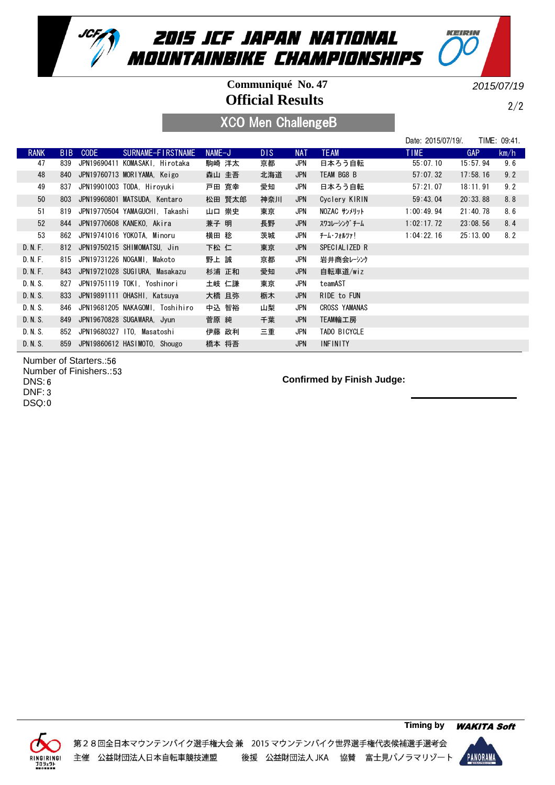

## **Official Results Communiqué No. 47**

2015/07/19

KEIRIN

2/2

## XCO Men ChallengeB

|             |                 |                                 |                   |          |        |      |            |                      | Date: 2015/07/19/. |            | TIME: 09:41. |
|-------------|-----------------|---------------------------------|-------------------|----------|--------|------|------------|----------------------|--------------------|------------|--------------|
| <b>RANK</b> | B <sub>IB</sub> | <b>CODE</b>                     | SURNAME-FIRSTNAME | $NAME-J$ |        | DIS. | <b>NAT</b> | <b>TEAM</b>          | <b>TIME</b>        | <b>GAP</b> | km/h         |
| 47          | 839             | JPN19690411 KOMASAKI, Hirotaka  |                   |          | 駒崎 洋太  | 京都   | JPN        | 日本ろう自転               | 55:07.10           | 15:57.94   | 9.6          |
| 48          | 840             | JPN19760713 MORIYAMA, Keigo     |                   |          | 森山 圭吾  | 北海道  | JPN        | TEAM BG8 B           | 57:07.32           | 17:58.16   | 9.2          |
| 49          | 837             | JPN19901003 TODA. Hirovuki      |                   |          | 戸田 寛幸  | 愛知   | JPN        | 日本ろう自転               | 57:21.07           | 18:11.91   | 9.2          |
| 50          | 803             | JPN19960801 MATSUDA, Kentaro    |                   |          | 松田 賢太郎 | 神奈川  | JPN        | Cyclery KIRIN        | 59:43.04           | 20:33.88   | 8.8          |
| 51          | 819             | JPN19770504 YAMAGUCHI, Takashi  |                   |          | 山口 崇史  | 東京   | JPN        | NOZAC サンメリット         | 1:00:49.94         | 21:40.78   | 8.6          |
| 52          | 844             | JPN19770608 KANEKO, Akira       |                   | 兼子 明     |        | 長野   | JPN        | スワコレーシング チーム         | 1:02:17.72         | 23:08.56   | 8.4          |
| 53          | 862             | JPN19741016 YOKOTA, Minoru      |                   | 横田 稔     |        | 茨城   | JPN        | チーム・フォルツァ!           | 1:04:22.16         | 25:13.00   | 8.2          |
| D. N. F.    |                 | 812 JPN19750215 SHIMOMATSU, Jin |                   | 下松 仁     |        | 東京   | JPN        | SPECIALIZED R        |                    |            |              |
| D. N. F.    |                 | 815 JPN19731226 NOGAMI, Makoto  |                   | 野上 誠     |        | 京都   | JPN        | 岩井商会レーシンク            |                    |            |              |
| D. N. F.    | 843             | JPN19721028 SUGIURA. Masakazu   |                   |          | 杉浦 正和  | 愛知   | JPN        | 自転車道/wiz             |                    |            |              |
| D. N. S.    | 827             | JPN19751119 TOKI, Yoshinori     |                   |          | 土岐 仁謙  | 東京   | JPN        | teamAST              |                    |            |              |
| D.N.S.      |                 | 833 JPN19891111 OHASHI, Katsuva |                   |          | 大橋 且弥  | 栃木   | JPN        | RIDE to FUN          |                    |            |              |
| D. N. S.    | 846             | JPN19681205 NAKAGOMI, Toshihiro |                   |          | 中込 智裕  | 山梨   | JPN        | <b>CROSS YAMANAS</b> |                    |            |              |
| D.N.S.      | 849             | JPN19670828 SUGAWARA, Jyun      |                   | 菅原 純     |        | 千葉   | <b>JPN</b> | TEAM輪工房              |                    |            |              |
| D. N. S.    | 852             | JPN19680327 ITO, Masatoshi      |                   |          | 伊藤 政利  | 三重   | JPN        | TADO BICYCLE         |                    |            |              |
| D. N. S.    | 859             | JPN19860612 HASIMOTO, Shougo    |                   | 橋本 将吾    |        |      | <b>JPN</b> | <b>INFINITY</b>      |                    |            |              |

Number of Starters.: 56 Number of Finishers.: 53 DNS: 6 DNF: 3

0 DSQ:



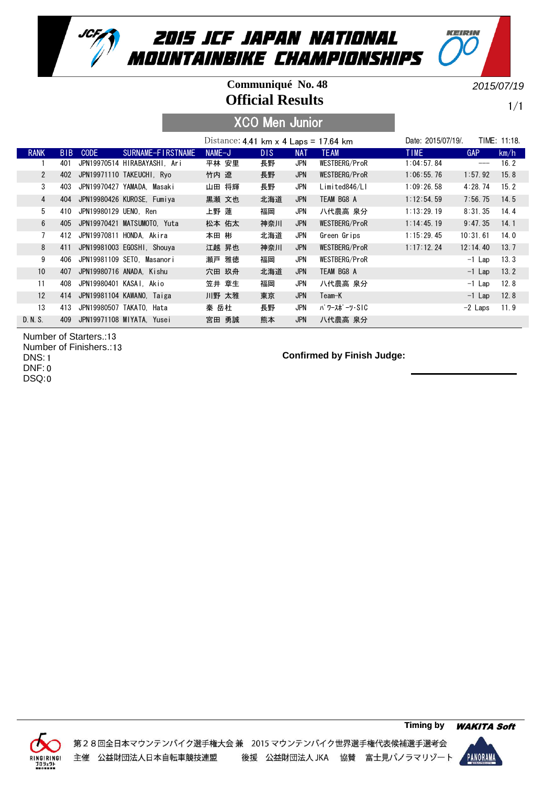

#### **Official Results Communiqué No. 48**

2015/07/19

KEIRIN

1/1

## XCO Men Junior

|                 |            |                       |                               | Distance: 4.41 km $\times$ 4 Laps = 17.64 km |                 |            |               | Date: 2015/07/19/. |            | TIME: 11:18. |
|-----------------|------------|-----------------------|-------------------------------|----------------------------------------------|-----------------|------------|---------------|--------------------|------------|--------------|
| <b>RANK</b>     | <b>BIB</b> | CODE                  | SURNAME-FIRSTNAME             | NAME-J                                       | D <sub>IS</sub> | <b>NAT</b> | <b>TEAM</b>   | TIME.              | <b>GAP</b> | km/h         |
|                 | 401        |                       | JPN19970514 HIRABAYASHI. Ari  | 平林 安里                                        | 長野              | JPN        | WESTBERG/ProR | 1:04:57.84         | ---        | 16.2         |
| $\overline{2}$  |            |                       | 402 JPN19971110 TAKEUCHI, Ryo | 竹内 遼                                         | 長野              | JPN        | WESTBERG/ProR | 1:06:55.76         | 1:57.92    | 15.8         |
| 3               | 403        |                       | JPN19970427 YAMADA, Masaki    | 山田 将輝                                        | 長野              | JPN        | Limited846/Ll | 1:09:26.58         | 4:28.74    | 15.2         |
| $\overline{4}$  | 404        |                       | JPN19980426 KUROSE, Fumiya    | 黒瀬 文也                                        | 北海道             | <b>JPN</b> | TEAM BG8 A    | 1:12:54.59         | 7:56.75    | 14.5         |
| 5               | 410        | JPN19980129 UENO. Ren |                               | 上野 蓮                                         | 福岡              | JPN        | 八代農高 泉分       | 1:13:29.19         | 8:31.35    | 14.4         |
| 6               | 405        |                       | JPN19970421 MATSUMOTO. Yuta   | 松本 佑太                                        | 神奈川             | <b>JPN</b> | WESTBERG/ProR | 1:14:45.19         | 9:47.35    | 14.1         |
| $7^{\circ}$     | 412        |                       | JPN19970811 HONDA. Akira      | 本田 彬                                         | 北海道             | JPN        | Green Grips   | 1:15:29.45         | 10:31.61   | 14.0         |
| 8               | 411        |                       | JPN19981003 EGOSHI, Shouya    | 江越 昇也                                        | 神奈川             | JPN        | WESTBERG/ProR | 1:17:12.24         | 12:14.40   | 13.7         |
| 9               | 406        |                       | JPN19981109 SETO. Masanori    | 瀬戸 雅徳                                        | 福岡              | JPN        | WESTBERG/ProR |                    | $-1$ Lap   | 13.3         |
| 10 <sup>°</sup> | 407        |                       | JPN19980716 ANADA. Kishu      | 穴田 玖舟                                        | 北海道             | <b>JPN</b> | TEAM BG8 A    |                    | $-1$ Lap   | 13.2         |
| 11              | 408        |                       | JPN19980401 KASAI. Akio       | 笠井 章生                                        | 福岡              | JPN        | 八代農高 泉分       |                    | $-1$ Lap   | 12.8         |
| 12              | 414        |                       | JPN19981104 KAWANO, Taiga     | 川野 太雅                                        | 東京              | <b>JPN</b> | Team-K        |                    | $-1$ Lap   | 12.8         |
| 13              | 413        |                       | JPN19980507 TAKATO, Hata      | 秦 岳杜                                         | 長野              | JPN        | パ ワースポ ーツ・SIC |                    | $-2$ Laps  | 11.9         |
| D. N. S.        | 409        |                       | JPN19971108 MIYATA, Yusei     | 宮田 勇誠                                        | 熊本              | JPN        | 八代農高 泉分       |                    |            |              |

Number of Starters.: 13 Number of Finishers.: 13 DNS: 1 0 DNF: 0 DSQ:



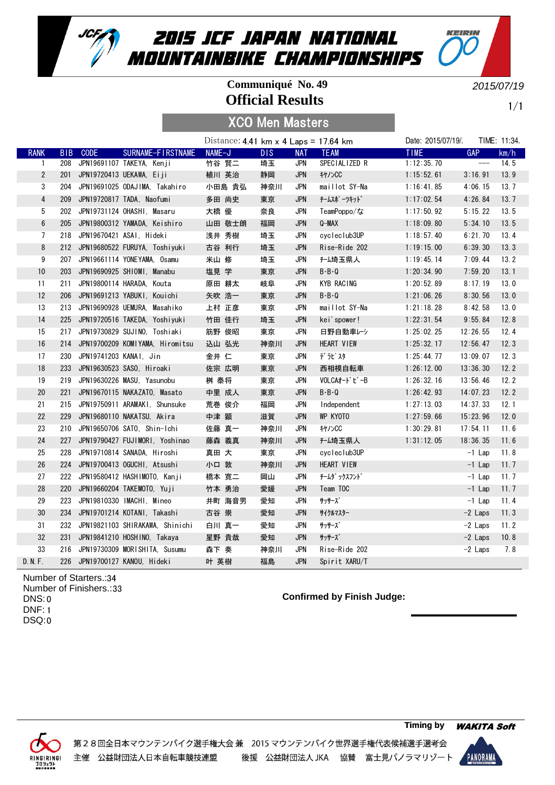

## **Official Results Communiqué No. 49**

2015/07/19

KEIRIN

1/1

|                |            |                        |                                   | Distance: 4.41 km $\times$ 4 Laps = 17.64 km |     |            |                | Date: 2015/07/19/. |                               | TIME: 11:34. |
|----------------|------------|------------------------|-----------------------------------|----------------------------------------------|-----|------------|----------------|--------------------|-------------------------------|--------------|
| <b>RANK</b>    | <b>BIB</b> | <b>CODE</b>            | SURNAME-FIRSTNAME                 | NAME-J                                       | DIS | <b>NAT</b> | <b>TEAM</b>    | <b>TIME</b>        | <b>GAP</b>                    | km/h         |
| 1              | 208        |                        | JPN19691107 TAKEYA, Kenji         | 竹谷 賢二                                        | 埼玉  | JPN        | SPECIALIZED R  | 1:12:35.70         | $\hspace{1.5cm} \textbf{---}$ | 14.5         |
| $\mathbf{2}$   | 201        |                        | JPN19720413 UEKAWA, Eiji          | 植川 英治                                        | 静岡  | <b>JPN</b> | $+1/2$ CC      | 1:15:52.61         | 3:16.91                       | 13.9         |
| 3              | 204        |                        | JPN19691025 ODAJIMA, Takahiro     | 小田島 貴弘                                       | 神奈川 | JPN        | maillot SY-Na  | 1:16:41.85         | 4:06.15                       | 13.7         |
| 4              | 209        |                        | JPN19720817 TADA, Naofumi         | 多田 尚史                                        | 東京  | <b>JPN</b> | チームスポ ーツキット゛   | 1:17:02.54         | 4:26.84                       | 13.7         |
| 5              | 202        |                        | JPN19731124 OHASHI, Masaru        | 大橋 優                                         | 奈良  | JPN        | TeamPoppo/な    | 1:17:50.92         | 5:15.22                       | 13.5         |
| 6              | 205        |                        | JPN19800312 YAMADA, Keishiro      | 山田 敬士朗                                       | 福岡  | <b>JPN</b> | $Q-MAX$        | 1:18:09.80         | 5:34.10                       | 13.5         |
| $\overline{7}$ | 218        |                        | JPN19670421 ASAI, Hideki          | 浅井 秀樹                                        | 埼玉  | <b>JPN</b> | cycleclub3UP   | 1:18:57.40         | 6:21.70                       | 13.4         |
| 8              |            |                        | 212 JPN19680522 FURUYA, Toshiyuki | 古谷 利行                                        | 埼玉  | <b>JPN</b> | Rise-Ride 202  | 1:19:15.00         | 6:39.30                       | 13.3         |
| 9              |            |                        | 207 JPN19661114 YONEYAMA, Osamu   | 米山 修                                         | 埼玉  | JPN        | <b>f-ム埼玉県人</b> | 1:19:45.14         | 7:09.44                       | 13.2         |
| 10             | 203        |                        | JPN19690925 SHIOMI, Manabu        | 塩見 学                                         | 東京  | <b>JPN</b> | $B - B - Q$    | 1:20:34.90         | 7:59.20                       | 13.1         |
| 11             | 211        |                        | JPN19800114 HARADA, Kouta         | 原田 耕太                                        | 岐阜  | JPN        | KYB RACING     | 1:20:52.89         | 8:17.19                       | 13.0         |
| 12             | 206        |                        | JPN19691213 YABUKI, Kouichi       | 矢吹 浩一                                        | 東京  | <b>JPN</b> | $B - B - Q$    | 1:21:06.26         | 8:30.56                       | 13.0         |
| 13             | 213        |                        | JPN19690928 UEMURA, Masahiko      | 上村 正彦                                        | 東京  | JPN        | maillot SY-Na  | 1:21:18.28         | 8:42.58                       | 13.0         |
| 14             | 225        |                        | JPN19720516 TAKEDA, Yoshiyuki     | 竹田 佳行                                        | 埼玉  | <b>JPN</b> | kei'spower!    | 1:22:31.54         | 9:55.84                       | 12.8         |
| 15             | 217        |                        | JPN19730829 SUJINO, Toshiaki      | 筋野 俊昭                                        | 東京  | <b>JPN</b> | 日野自動車レシ        | 1:25:02.25         | 12:26.55                      | 12.4         |
| 16             | 214        |                        | JPN19700209 KOMIYAMA, Hiromitsu   | 込山 弘光                                        | 神奈川 | <b>JPN</b> | HEART VIEW     | 1:25:32.17         | 12:56.47                      | 12.3         |
| 17             | 230        | JPN19741203 KANAI, Jin |                                   | 金井 仁                                         | 東京  | JPN        | デラピスタ          | 1:25:44.77         | 13:09.07                      | 12.3         |
| 18             | 233        |                        | JPN19630523 SASO, Hiroaki         | 佐宗 広明                                        | 東京  | <b>JPN</b> | 西相模自転車         | 1:26:12.00         | 13:36.30                      | 12.2         |
| 19             | 219        |                        | JPN19630226 MASU, Yasunobu        | 桝 泰将                                         | 東京  | <b>JPN</b> | VOLCAオードビーB    | 1:26:32.16         | 13:56.46                      | 12.2         |
| 20             | 221        |                        | JPN19670115 NAKAZATO, Masato      | 中里 成人                                        | 東京  | <b>JPN</b> | $B - B - Q$    | 1:26:42.93         | 14:07.23                      | 12.2         |
| 21             | 215        |                        | JPN19750911 ARAMAKI, Shunsuke     | 荒巻 俊介                                        | 福岡  | JPN        | Independent    | 1:27:13.03         | 14:37.33                      | 12.1         |
| 22             | 229        |                        | JPN19680110 NAKATSU, Akira        | 中津 顕                                         | 滋賀  | <b>JPN</b> | WP KYOTO       | 1:27:59.66         | 15:23.96                      | 12.0         |
| 23             |            |                        | 210 JPN19650706 SATO, Shin-Ichi   | 佐藤 真一                                        | 神奈川 | <b>JPN</b> | +1/SCC         | 1:30:29.81         | 17:54.11                      | 11.6         |
| 24             | 227        |                        | JPN19790427 FUJIMORI, Yoshinao    | 藤森 義真                                        | 神奈川 | <b>JPN</b> | f-ム埼玉県人        | 1:31:12.05         | 18:36.35                      | 11.6         |
| 25             | 228        |                        | JPN19710814 SANADA, Hiroshi       | 真田 大                                         | 東京  | <b>JPN</b> | cycleclub3UP   |                    | $-1$ Lap                      | 11.8         |
| 26             | 224        |                        | JPN19700413 OGUCHI, Atsushi       | 小口 敦                                         | 神奈川 | <b>JPN</b> | HEART VIEW     |                    | $-1$ Lap                      | 11.7         |
| 27             |            |                        | 222 JPN19580412 HASHIMOTO, Kanji  | 橋本 寛二                                        | 岡山  | JPN        | チームダ ックスフント゛   |                    | $-1$ Lap                      | 11.7         |
| 28             | 220        |                        | JPN19660204 TAKEMOTO, Yuji        | 竹本 勇治                                        | 愛媛  | <b>JPN</b> | Team TOC       |                    | $-1$ Lap                      | 11.7         |
| 29             | 223        |                        | JPN19810330 IMACHI, Mineo         | 井町 海音男                                       | 愛知  | JPN        | サッサーズ          |                    | $-1$ Lap                      | 11.4         |
| 30             | 234        |                        | JPN19701214 KOTANI, Takashi       | 古谷 崇                                         | 愛知  | <b>JPN</b> | サイクルマスター       |                    | $-2$ Laps                     | 11.3         |
| 31             | 232        |                        | JPN19821103 SHIRAKAWA, Shinichi   | 白川 真一                                        | 愛知  | <b>JPN</b> | サッサーズ          |                    | $-2$ Laps                     | 11.2         |
| 32             |            |                        | 231 JPN19841210 HOSHINO, Takaya   | 星野 貴哉                                        | 愛知  | <b>JPN</b> | サッサーズ          |                    | $-2$ Laps                     | 10.8         |
| 33             |            |                        | 216 JPN19730309 MORISHITA, Susumu | 森下 奏                                         | 神奈川 | JPN        | Rise-Ride 202  |                    | $-2$ Laps                     | 7.8          |
| D. N. F.       |            |                        | 226 JPN19700127 KANOU, Hideki     | 叶 英樹                                         | 福島  | <b>JPN</b> | Spirit XARU/T  |                    |                               |              |

Number of Starters.: 34 Number of Finishers.: 33 0 DNS: DNF: 1 0 DSQ:

#### **Confirmed by Finish Judge:**



第28回全日本マウンテンバイク選手権大会兼 2015 マウンテンバイク世界選手権代表候補選手選考会 主催 公益財団法人日本自転車競技連盟 後援 公益財団法人 JKA 協賛 富士見パノラマリゾート

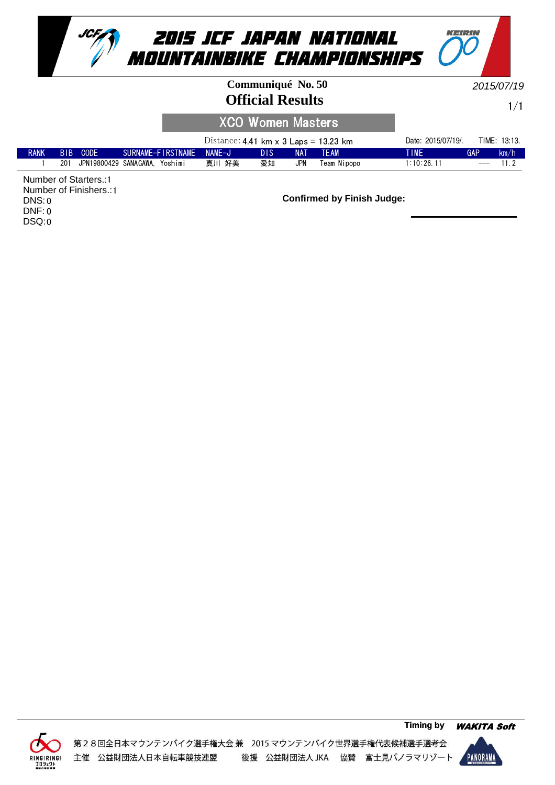



#### **Official Results Communiqué No. 50**

2015/07/19

KEIRIN

1/1

#### XCO Women Masters

|             |     |                       |                          | Distance: 4.41 km $\times$ 3 Laps = 13.23 km |      |            |             | Date: 2015/07/19/. |                   | TIME: 13:13. |
|-------------|-----|-----------------------|--------------------------|----------------------------------------------|------|------------|-------------|--------------------|-------------------|--------------|
| <b>RANK</b> |     | BIB CODE              | SURNAME-FIRSTNAME NAME-J |                                              | DIS. | <b>NAT</b> | <b>TFAM</b> | TIME               | <b>GAP</b>        | km/h         |
|             | 201 | JPN19800429 SANAGAWA. | Yoshimi                  | 真川 好美                                        | 愛知   | JPN        | Team Nipopo | 1:10:26.11         | $\qquad \qquad -$ | 11.2         |

Number of Starters.: 1 Number of Finishers.: 1 0 DNS: 0 DNF: 0 DSQ:



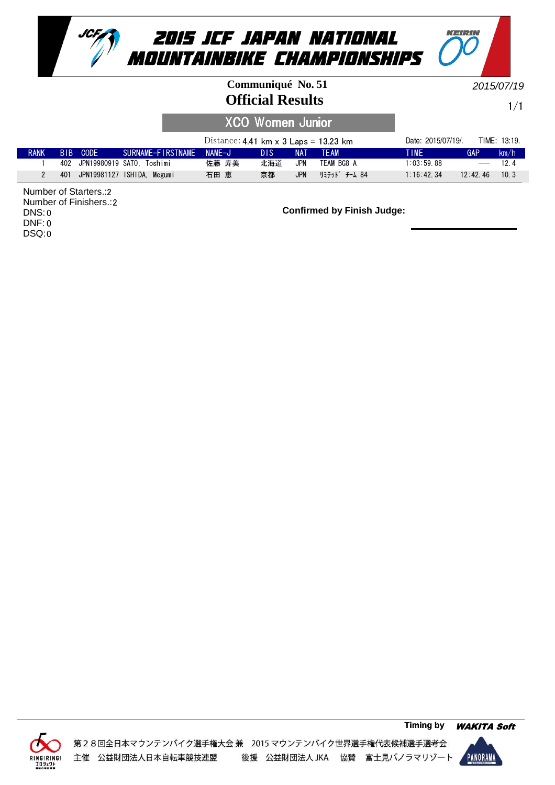

#### **Official Results Communiqué No. 51**

2015/07/19

KEIRIN

1/1

## XCO Women Junior

|             |     |                       |                            | Distance: 4.41 km $\times$ 3 Laps = 13.23 km |      |            |               | Date: 2015/07/19/. |          | TIME: 13:19. |
|-------------|-----|-----------------------|----------------------------|----------------------------------------------|------|------------|---------------|--------------------|----------|--------------|
| <b>RANK</b> |     | BIB CODE              | SURNAME-FIRSTNAME          | NAMF-J                                       | DI S | <b>NAT</b> | TFAM          | TIME               | GAP      | km/h         |
|             |     | 402 JPN19980919 SATO. | Toshimi                    | 佐藤 寿美                                        | 北海道  | JPN        | TEAM BG8 A    | 1:03:59.88         | $---$    | 124          |
|             | 401 |                       | JPN19981127 ISHIDA. Megumi | 石田 恵                                         | 京都   | <b>JPN</b> | リミテット゛ チーム 84 | $1:16:42$ 34       | 12:42,46 | 10.3         |

2 Number of Starters.: 2 Number of Finishers.: 0 DNS: 0 DNF: 0 DSQ:



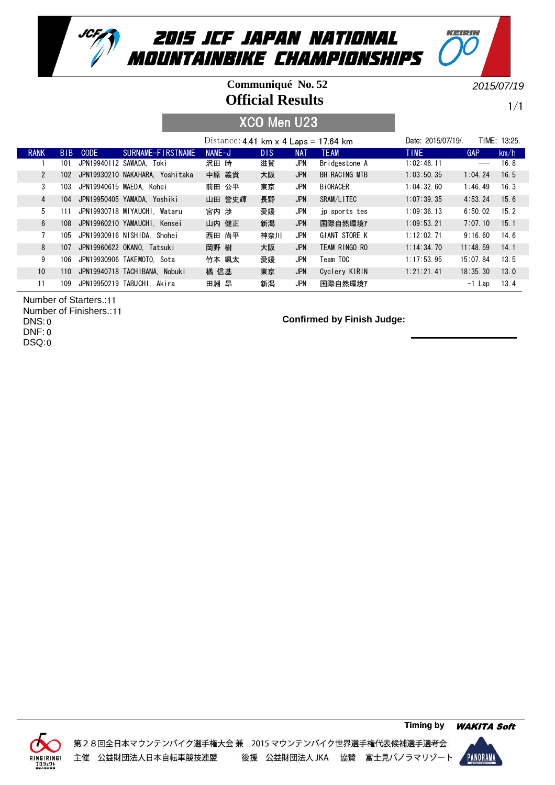

#### **Official Results Communiqué No. 52**

2015/07/19

KEIRIN

1/1

XCO Men U23

|              |                 |             |                                 | Distance: 4.41 km $\times$ 4 Laps = 17.64 km |      |            |                 | Date: 2015/07/19/ |            | TIME: 13:25. |
|--------------|-----------------|-------------|---------------------------------|----------------------------------------------|------|------------|-----------------|-------------------|------------|--------------|
| <b>RANK</b>  | B <sub>IB</sub> | <b>CODE</b> | SURNAME-FIRSTNAME               | $NAME-J$                                     | DIS. | <b>NAT</b> | <b>TEAM</b>     | <b>TIME</b>       | <b>GAP</b> | km/h         |
|              | 101             |             | JPN19940112 SAWADA. Toki        | 沢田 時                                         | 滋賀   | JPN        | Bridgestone A   | 1:02:46.11        | $---$      | 16.8         |
| $\mathbf{2}$ | 102             |             | JPN19930210 NAKAHARA. Yoshitaka | 中原 義貴                                        | 大阪   | <b>JPN</b> | BH RACING MTB   | 1:03:50.35        | 1:04.24    | 16.5         |
| 3            | 103             |             | JPN19940615 MAEDA. Kohei        | 前田 公平                                        | 東京   | JPN        | <b>BiORACER</b> | 1:04:32.60        | 1:46.49    | 16.3         |
| 4            | 104             |             | JPN19950405 YAMADA. Yoshiki     | 山田 誉史輝                                       | 長野   | <b>JPN</b> | SRAM/LITEC      | 1:07:39.35        | 4:53.24    | 15.6         |
| 5            | 111             |             | JPN19930718 MIYAUCHI. Wataru    | 宮内 渉                                         | 愛媛   | JPN        | jp sports tes   | 1:09:36.13        | 6:50.02    | 15.2         |
| 6            | 108             |             | JPN19960210 YAMAUCHI. Kensei    | 山内 健正                                        | 新潟   | <b>JPN</b> | 国際自然環境ア         | 1:09:53.21        | 7:07.10    | 15.1         |
| 7            | 105             |             | JPN19930916 NISHIDA. Shohei     | 西田 尚平                                        | 神奈川  | JPN        | GIANT STORE K   | 1:12:02.71        | 9:16.60    | 14.6         |
| 8            | 107             |             | JPN19960622 OKANO. Tatsuki      | 岡野 樹                                         | 大阪   | <b>JPN</b> | TEAM RINGO RO   | 1:14:34.70        | 11:48.59   | 14.1         |
| 9            | 106             |             | JPN19930906 TAKEMOTO. Sota      | 竹本 颯太                                        | 愛媛   | JPN        | Team TOC        | 1:17:53.95        | 15:07.84   | 13.5         |
| 10           | 110             |             | JPN19940718 TACHIBANA. Nobuki   | 橘 信基                                         | 東京   | <b>JPN</b> | Cyclery KIRIN   | 1:21:21.41        | 18:35.30   | 13.0         |
| 11           | 109             |             | JPN19950219 TABUCHI, Akira      | 田淵 昂                                         | 新潟   | JPN        | 国際自然環境7         |                   | $-1$ Lap   | 13.4         |

Number of Starters.:11 Number of Finishers.: 11 0 DNS: 0 DNF: 0 DSQ:



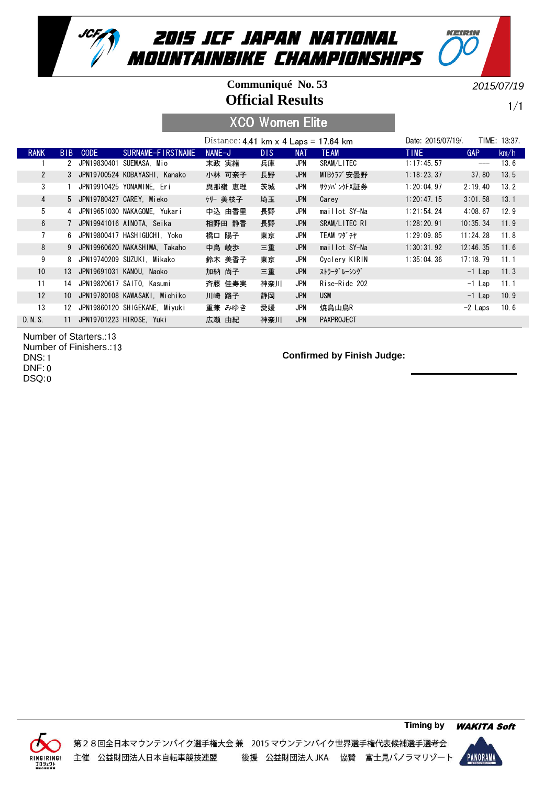

#### **Official Results Communiqué No. 53**

2015/07/19

KEIRIN

1/1

## XCO Women Elite

|                 |                 |               |                                  | Distance: 4.41 km $\times$ 4 Laps = 17.64 km |      |            |                   | Date: 2015/07/19/. |            | TIME: 13:37. |
|-----------------|-----------------|---------------|----------------------------------|----------------------------------------------|------|------------|-------------------|--------------------|------------|--------------|
| <b>RANK</b>     | B <sub>IB</sub> | <b>CODE</b>   | SURNAME-FIRSTNAME                | NAME-J                                       | DIS. | <b>NAT</b> | <b>TEAM</b>       | <b>TIME</b>        | <b>GAP</b> | km/h         |
|                 |                 | 2 JPN19830401 | SUEMASA, Mio                     | 末政 実緒                                        | 兵庫   | JPN        | SRAM/LITEC        | 1:17:45.57         |            | 13.6         |
| $\overline{2}$  |                 |               | 3 JPN19700524 KOBAYASHI, Kanako  | 小林 可奈子                                       | 長野   | JPN        | MTBクラブ安曇野         | 1:18:23.37         | 37.80      | 13.5         |
| 3               |                 |               | JPN19910425 YONAMINE, Eri        | 與那嶺 恵理                                       | 茨城   | JPN        | サクソバンクFX証券        | 1:20:04.97         | 2:19.40    | 13.2         |
| $\overline{4}$  |                 |               | 5 JPN19780427 CAREY, Mieko       | クリー 美枝子                                      | 埼玉   | <b>JPN</b> | Carey             | 1:20:47.15         | 3:01.58    | 13.1         |
| 5               |                 |               | 4 JPN19651030 NAKAGOME. Yukari   | 中込 由香里                                       | 長野   | JPN        | maillot SY-Na     | 1:21:54.24         | 4:08.67    | 12.9         |
| 6               |                 |               | 7 JPN19941016 AINOTA, Seika      | 相野田 静香                                       | 長野   | <b>JPN</b> | SRAM/LITEC RI     | 1:28:20.91         | 10:35.34   | 11.9         |
| $\overline{7}$  |                 |               | 6 JPN19800417 HASHIGUCHI. Yoko   | 橋口 陽子                                        | 東京   | JPN        | <b>TEAM ワダ チヤ</b> | 1:29:09.85         | 11:24.28   | 11.8         |
| 8               |                 |               | 9 JPN19960620 NAKASHIMA, Takaho  | 中島 崚歩                                        | 三重   | JPN        | maillot SY-Na     | 1:30:31.92         | 12:46.35   | 11.6         |
| 9               |                 |               | 8 JPN19740209 SUZUKI. Mikako     | 鈴木 美香子                                       | 東京   | JPN        | Cyclery KIRIN     | 1:35:04.36         | 17:18.79   | 11.1         |
| 10 <sup>°</sup> |                 |               | 13 JPN19691031 KANOU, Naoko      | 加納 尚子                                        | 三重   | <b>JPN</b> | ストラーダ レーシング       |                    | $-1$ Lap   | 11.3         |
| 11              |                 |               | 14 JPN19820617 SAITO. Kasumi     | 斉藤 佳寿実                                       | 神奈川  | JPN        | Rise-Ride 202     |                    | $-1$ Lap   | 11.1         |
| 12              | 10 <sup>1</sup> |               | JPN19780108 KAWASAKI. Michiko    | 川崎 路子                                        | 静岡   | <b>JPN</b> | USM               |                    | $-1$ Lap   | 10.9         |
| 13              |                 |               | 12 JPN19860120 SHIGEKANE, Miyuki | 重兼 みゆき                                       | 愛媛   | JPN        | 焼鳥山鳥R             |                    | $-2$ Laps  | 10.6         |
| D. N. S.        | 11              |               | JPN19701223 HIROSE. Yuki         | 広瀬 由紀                                        | 神奈川  | <b>JPN</b> | <b>PAXPROJECT</b> |                    |            |              |

Number of Starters.: 13 Number of Finishers.: 13 DNS: 1 0 DNF: 0 DSQ:



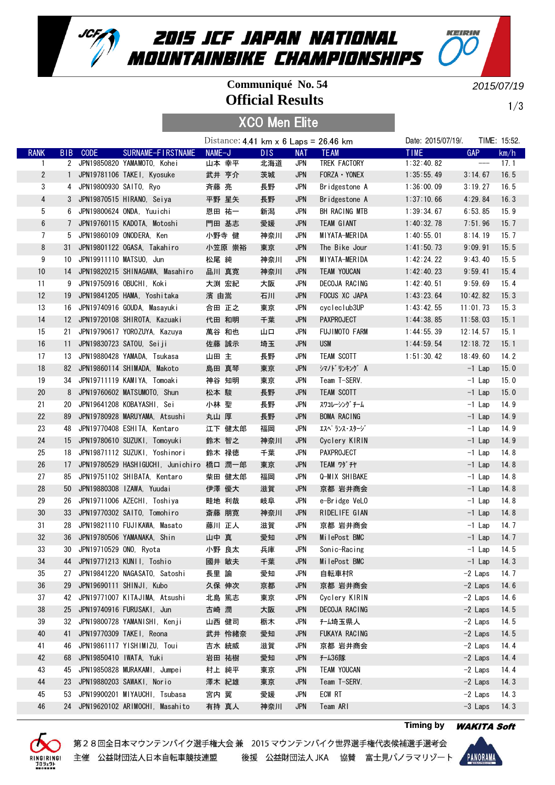

#### **Official Results Communiqué No. 54**

2015/07/19

KEIRIN

1/3

XCO Men Elite

|                |                 |                           |                                          | Distance: 4.41 km $\times$ 6 Laps = 26.46 km |            |            |                    | Date: 2015/07/19/. | TIME: 15:52. |      |
|----------------|-----------------|---------------------------|------------------------------------------|----------------------------------------------|------------|------------|--------------------|--------------------|--------------|------|
| <b>RANK</b>    | B <sub>IB</sub> | <b>CODE</b>               | SURNAME-FIRSTNAME                        | NAME-J                                       | <b>DIS</b> | <b>NAT</b> | <b>TEAM</b>        | <b>TIME</b>        | GAP          | km/h |
| $\overline{1}$ |                 |                           | 2 JPN19850820 YAMAMOTO, Kohei            | 山本 幸平                                        | 北海道        | JPN        | TREK FACTORY       | 1:32:40.82         | $-\!-\!$     | 17.1 |
| $\overline{2}$ |                 |                           | 1 JPN19781106 TAKEI, Kyosuke             | 武井 亨介                                        | 茨城         | <b>JPN</b> | FORZA · YONEX      | 1:35:55.49         | 3:14.67      | 16.5 |
| 3              |                 | 4 JPN19800930 SAITO, Ryo  |                                          | 斉藤 亮                                         | 長野         | <b>JPN</b> | Bridgestone A      | 1:36:00.09         | 3:19.27      | 16.5 |
| 4              |                 |                           | 3 JPN19870515 HIRANO, Seiya              | 平野 星矢                                        | 長野         | <b>JPN</b> | Bridgestone A      | 1:37:10.66         | 4:29.84      | 16.3 |
| 5              |                 |                           | 6 JPN19800624 ONDA, Yuuichi              | 恩田 祐一                                        | 新潟         | <b>JPN</b> | BH RACING MTB      | 1:39:34.67         | 6:53.85      | 15.9 |
| 6              |                 |                           | 7 JPN19760115 KADOTA, Motoshi            | 門田 基志                                        | 愛媛         | <b>JPN</b> | TEAM GIANT         | 1:40:32.78         | 7:51.96      | 15.7 |
| 7              |                 |                           | 5 JPN19860109 ONODERA, Ken               | 小野寺 健                                        | 神奈川        | <b>JPN</b> | MIYATA-MERIDA      | 1:40:55.01         | 8:14.19      | 15.7 |
| 8              | 31              |                           | JPN19801122 OGASA, Takahiro              | 小笠原 崇裕                                       | 東京         | <b>JPN</b> | The Bike Jour      | 1:41:50.73         | 9:09.91      | 15.5 |
| 9              | 10              |                           | JPN19911110 MATSU0, Jun                  | 松尾 純                                         | 神奈川        | JPN        | MIYATA-MERIDA      | 1:42:24.22         | 9:43.40      | 15.5 |
| 10             | 14              |                           | JPN19820215 SHINAGAWA, Masahiro          | 品川 真寛                                        | 神奈川        | <b>JPN</b> | TEAM YOUCAN        | 1:42:40.23         | 9:59.41      | 15.4 |
| 11             |                 |                           | 9 JPN19750916 OBUCHI, Koki               | 大渕 宏紀                                        | 大阪         | JPN        | DECOJA RACING      | 1:42:40.51         | 9:59.69      | 15.4 |
| 12             | 19              |                           | JPN19841205 HAMA, Yoshitaka              | 濱 由嵩                                         | 石川         | <b>JPN</b> | FOCUS XC JAPA      | 1:43:23.64         | 10:42.82     | 15.3 |
| 13             | 16              |                           | JPN19740916 GOUDA, Masayuki              | 合田 正之                                        | 東京         | JPN        | cycleclub3UP       | 1:43:42.55         | 11:01.73     | 15.3 |
| 14             |                 |                           | 12 JPN19720108 SHIROTA, Kazuaki          | 代田 和明                                        | 千葉         | <b>JPN</b> | <b>PAXPROJECT</b>  | 1:44:38.85         | 11:58.03     | 15.1 |
| 15             | 21              |                           | JPN19790617 YOROZUYA, Kazuya             | 萬谷 和也                                        | 山口         | <b>JPN</b> | FUJIMOTO FARM      | 1:44:55.39         | 12:14.57     | 15.1 |
| 16             | 11              |                           | JPN19830723 SATOU, Seiji                 | 佐藤 誠示                                        | 埼玉         | <b>JPN</b> | <b>USM</b>         | 1:44:59.54         | 12:18.72     | 15.1 |
| 17             | 13              |                           | JPN19880428 YAMADA, Tsukasa              | 山田 主                                         | 長野         | <b>JPN</b> | <b>TEAM SCOTT</b>  | 1:51:30.42         | 18:49.60     | 14.2 |
| 18             |                 |                           | 82 JPN19860114 SHIMADA, Makoto           | 島田 真琴                                        | 東京         | <b>JPN</b> | シマノドリンキング A        |                    | $-1$ Lap     | 15.0 |
| 19             |                 |                           | 34 JPN19711119 KAMIYA, Tomoaki           | 神谷 知明                                        | 東京         | JPN        | Team T-SERV.       |                    | $-1$ Lap     | 15.0 |
| 20             | 8               |                           | JPN19760602 MATSUMOTO, Shun              |                                              |            |            |                    |                    |              |      |
|                |                 |                           |                                          | 松本 駿                                         | 長野         | <b>JPN</b> | TEAM SCOTT         |                    | $-1$ Lap     | 15.0 |
| 21             | 20              |                           | JPN19641208 KOBAYASHI, Sei               | 小林 聖                                         | 長野         | JPN        | スワコレーシング チーム       |                    | $-1$ Lap     | 14.9 |
| 22             | 89              |                           | JPN19780928 MARUYAMA, Atsushi            | 丸山 厚                                         | 長野         | <b>JPN</b> | BOMA RACING        |                    | $-1$ Lap     | 14.9 |
| 23             | 48              |                           | JPN19770408 ESHITA, Kentaro              | 江下 健太郎                                       | 福岡         | <b>JPN</b> | エスヘ゜ランス・スタージ゛      |                    | $-1$ Lap     | 14.9 |
| 24             | 15              |                           | JPN19780610 SUZUKI, Tomoyuki             | 鈴木 智之                                        | 神奈川        | <b>JPN</b> | Cyclery KIRIN      |                    | $-1$ Lap     | 14.9 |
| 25             | 18              |                           | JPN19871112 SUZUKI, Yoshinori            | 鈴木 禄徳                                        | 千葉         | JPN        | PAXPROJECT         |                    | $-1$ Lap     | 14.8 |
| 26             | 17 <sup>2</sup> |                           | JPN19780529 HASHIGUCHI, Junichiro 橋口 潤一郎 |                                              | 東京         | <b>JPN</b> | <b>TEAM ワダ チヤ</b>  |                    | $-1$ Lap     | 14.8 |
| 27             | 85              |                           | JPN19751102 SHIBATA, Kentaro             | 柴田 健太郎                                       | 福岡         | JPN        | Q-MIX SHIBAKE      |                    | $-1$ Lap     | 14.8 |
| 28             | 50              |                           | JPN19880308 IZAWA, Yuudai                | 伊澤 優大                                        | 滋賀         | <b>JPN</b> | 京都 岩井商会            |                    | $-1$ Lap     | 14.8 |
| 29             | 26              |                           | JPN19711006 AZECHI, Toshiya              | 畦地 利哉                                        | 岐阜         | <b>JPN</b> | e-Bridge VeLO      |                    | $-1$ Lap     | 14.8 |
| 30             | 33              |                           | JPN19770302 SAITO, Tomohiro              | 斎藤 朋寛                                        | 神奈川        | <b>JPN</b> | RIDELIFE GIAN      |                    | $-1$ Lap     | 14.8 |
| 31             | 28              |                           | JPN19821110 FUJIKAWA, Masato             | 藤川 正人                                        | 滋賀         | JPN        | 京都 岩井商会            |                    | $-1$ Lap     | 14.7 |
| 32             | 36              |                           | JPN19780506 YAMANAKA, Shin               | 山中 真                                         | 愛知         | <b>JPN</b> | MilePost BMC       |                    | $-1$ Lap     | 14.7 |
| 33             |                 | 30 JPN19710529 ONO, Ryota |                                          | 小野 良太                                        | 兵庫         | <b>JPN</b> | Sonic-Racing       |                    | $-1$ Lap     | 14.5 |
| 34             |                 |                           | 44 JPN19771213 KUNII, Toshio             | 國井 敏夫                                        | 千葉         | <b>JPN</b> | MilePost BMC       |                    | $-1$ Lap     | 14.3 |
| 35             | 27              |                           | JPN19841220 NAGASATO, Satoshi            | 長里 諭                                         | 愛知         | JPN        | 自転車村R              |                    | $-2$ Laps    | 14.7 |
| 36             | 29              |                           | JPN19690111 SHINJI, Kubo                 | 久保 伸次                                        | 京都         | <b>JPN</b> | 京都 岩井商会            |                    | $-2$ Laps    | 14.6 |
| 37             | 42              |                           | JPN19771007 KITAJIMA, Atsushi            | 北島 篤志                                        | 東京         | <b>JPN</b> | Cyclery KIRIN      |                    | $-2$ Laps    | 14.6 |
| 38             | 25              |                           | JPN19740916 FURUSAKI, Jun                | 古崎 潤                                         | 大阪         | <b>JPN</b> | DECOJA RACING      |                    | $-2$ Laps    | 14.5 |
| 39             | 32              |                           | JPN19800728 YAMANISHI, Kenji             | 山西 健司                                        | 栃木         | JPN        | <b>f-ム埼玉県人</b>     |                    | $-2$ Laps    | 14.5 |
| 40             | 41              |                           | JPN19770309 TAKEI, Reona                 | 武井 怜緒奈                                       | 愛知         | <b>JPN</b> | FUKAYA RACING      |                    | $-2$ Laps    | 14.5 |
| 41             | 46              |                           | JPN19861117 YISHIMIZU, Toui              | 吉水 統威                                        | 滋賀         | JPN        | 京都 岩井商会            |                    | $-2$ Laps    | 14.4 |
| 42             | 68              |                           | JPN19850410 IWATA, Yuki                  | 岩田 祐樹                                        | 愛知         | <b>JPN</b> | f-436隊             |                    | $-2$ Laps    | 14.4 |
| 43             | 45              |                           | JPN19850828 MURAKAMI, Jumpei             | 村上 純平                                        | 東京         | JPN        | <b>TEAM YOUCAN</b> |                    | $-2$ Laps    | 14.4 |
| 44             | 23              |                           | JPN19880203 SAWAKI, Norio                | 澤木 紀雄                                        | 東京         | <b>JPN</b> | Team T-SERV.       |                    | $-2$ Laps    | 14.3 |
| 45             | 53              |                           | JPN19900201 MIYAUCHI, Tsubasa            | 宮内 翼                                         | 愛媛         | <b>JPN</b> | ECW RT             |                    | $-2$ Laps    | 14.3 |
| 46             |                 |                           | 24 JPN19620102 ARIMOCHI, Masahito        | 有持 真人                                        | 神奈川        | <b>JPN</b> | Team ARI           |                    | $-3$ Laps    | 14.3 |
|                |                 |                           |                                          |                                              |            |            |                    |                    |              |      |





**Timing by** WAKITA Soft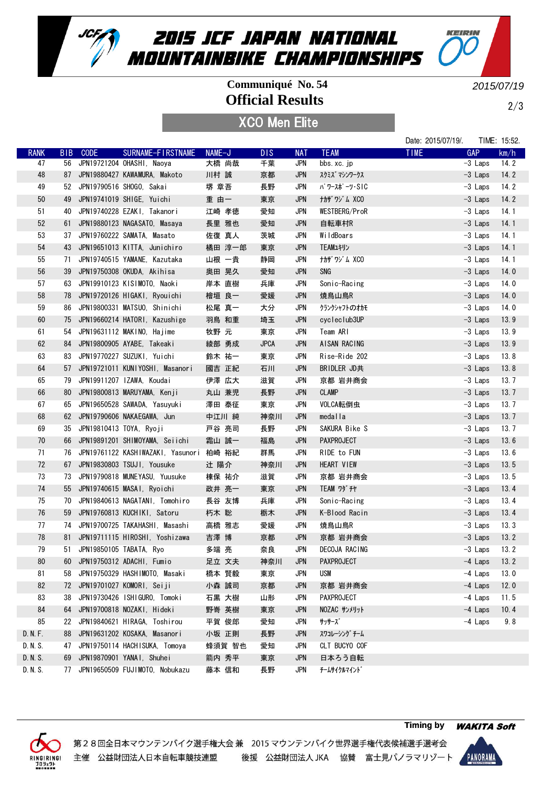

## **Official Results Communiqué No. 54**

KEIRIN

2/3

2015/07/19

XCO Men Elite

|             |                 |                            |                                   |        |             |            |                   | Date: 2015/07/19/. |            | TIME: 15:52. |
|-------------|-----------------|----------------------------|-----------------------------------|--------|-------------|------------|-------------------|--------------------|------------|--------------|
| <b>RANK</b> | B <sub>IB</sub> | <b>CODE</b>                | SURNAME-FIRSTNAME                 | NAME-J | <b>DIS</b>  | <b>NAT</b> | <b>TEAM</b>       | <b>TIME</b>        | <b>GAP</b> | km/h         |
| 47          | 56              |                            | JPN19721204 OHASHI, Naoya         | 大橋 尚哉  | 千葉          | <b>JPN</b> | bbs.xc.jp         |                    | $-3$ Laps  | 14.2         |
| 48          | 87              |                            | JPN19880427 KAWAMURA, Makoto      | 川村 誠   | 京都          | <b>JPN</b> | スクミズ マシンワークス      |                    | $-3$ Laps  | 14.2         |
| 49          | 52              |                            | JPN19790516 SHOGO, Sakai          | 堺 章吾   | 長野          | <b>JPN</b> | パ ワースポ ーツ・SIC     |                    | -3 Laps    | 14.2         |
| 50          | 49              |                            | JPN19741019 SHIGE, Yuichi         | 重 由一   | 東京          | <b>JPN</b> | <b>ナカザワジム XCO</b> |                    | $-3$ Laps  | 14.2         |
| 51          | 40              |                            | JPN19740228 EZAKI, Takanori       | 江崎 孝徳  | 愛知          | <b>JPN</b> | WESTBERG/ProR     |                    | -3 Laps    | 14.1         |
| 52          | 61              |                            | JPN19880123 NAGASATO, Masaya      | 長里 雅也  | 愛知          | <b>JPN</b> | 自転車村R             |                    | $-3$ Laps  | 14.1         |
| 53          | 37              |                            | JPN19760222 SAMATA, Masato        | 佐復 真人  | 茨城          | JPN        | WildBoars         |                    | $-3$ Laps  | 14.1         |
| 54          | 43              |                            | JPN19651013 KITTA, Junichiro      | 橘田 淳一郎 | 東京          | <b>JPN</b> | TEAMユキリン          |                    | $-3$ Laps  | 14.1         |
| 55          | 71              |                            | JPN19740515 YAMANE, Kazutaka      | 山根 一貴  | 静岡          | JPN        | ナカザ ワジ ム XCO      |                    | $-3$ Laps  | 14.1         |
| 56          | 39              |                            | JPN19750308 OKUDA, Akihisa        | 奥田 晃久  | 愛知          | <b>JPN</b> | SNG               |                    | $-3$ Laps  | 14.0         |
| 57          | 63              |                            | JPN19910123 KISIMOTO, Naoki       | 岸本 直樹  | 兵庫          | <b>JPN</b> | Sonic-Racing      |                    | $-3$ Laps  | 14.0         |
| 58          | 78              |                            | JPN19720126 HIGAKI, Ryouichi      | 檜垣 良一  | 愛媛          | <b>JPN</b> | 焼鳥山鳥R             |                    | $-3$ Laps  | 14.0         |
| 59          | 86              |                            | JPN19800331 MATSUO, Shinichi      | 松尾 真一  | 大分          | <b>JPN</b> | クランクシャフトのオカモ      |                    | $-3$ Laps  | 14.0         |
| 60          | 75              |                            | JPN19660214 HATORI, Kazushige     | 羽鳥 和重  | 埼玉          | <b>JPN</b> | cycleclub3UP      |                    | -3 Laps    | 13.9         |
| 61          | 54              |                            | JPN19631112 MAKINO, Hajime        | 牧野 元   | 東京          | JPN        | Team ARI          |                    | $-3$ Laps  | 13.9         |
| 62          | 84              |                            | JPN19800905 AYABE, Takeaki        | 綾部 勇成  | <b>JPCA</b> | <b>JPN</b> | AISAN RACING      |                    | $-3$ Laps  | 13.9         |
| 63          | 83              |                            | JPN19770227 SUZUKI, Yuichi        | 鈴木 祐一  | 東京          | JPN        | Rise-Ride 202     |                    | $-3$ Laps  | 13.8         |
| 64          | 57              |                            | JPN19721011 KUNIYOSHI, Masanori   | 國吉 正紀  | 石川          | <b>JPN</b> | BRIDLER JD共       |                    | $-3$ Laps  | 13.8         |
| 65          | 79              |                            | JPN19911207 IZAWA, Koudai         | 伊澤 広大  | 滋賀          | <b>JPN</b> | 京都 岩井商会           |                    | $-3$ Laps  | 13.7         |
| 66          | 80              |                            | JPN19800813 MARUYAMA, Kenji       | 丸山 兼児  | 長野          | <b>JPN</b> | <b>CLAMP</b>      |                    | $-3$ Laps  | 13.7         |
| 67          | 65              |                            | JPN19650528 SAWADA, Yasuyuki      | 澤田 泰征  | 東京          | JPN        | VOLCA転倒虫          |                    | $-3$ Laps  | 13.7         |
| 68          | 62              |                            | JPN19790606 NAKAEGAWA, Jun        | 中江川 純  | 神奈川         | <b>JPN</b> | medalla           |                    | $-3$ Laps  | 13.7         |
| 69          | 35              | JPN19810413 TOYA, Ryoji    |                                   | 戸谷 亮司  | 長野          | <b>JPN</b> | SAKURA Bike S     |                    | $-3$ Laps  | 13.7         |
| 70          | 66              |                            | JPN19891201 SHIMOYAMA, Seiichi    | 霜山 誠一  | 福島          | <b>JPN</b> | PAXPROJECT        |                    | $-3$ Laps  | 13.6         |
| 71          | 76              |                            | JPN19761122 KASHIWAZAKI, Yasunori | 柏崎 裕紀  | 群馬          | <b>JPN</b> | RIDE to FUN       |                    | $-3$ Laps  | 13.6         |
| 72          | 67              |                            | JPN19830803 TSUJI, Yousuke        | 辻 陽介   | 神奈川         | <b>JPN</b> | HEART VIEW        |                    | $-3$ Laps  | 13.5         |
| 73          | 73              |                            | JPN19790818 MUNEYASU, Yuusuke     | 棟保 祐介  | 滋賀          | JPN        | 京都 岩井商会           |                    | $-3$ Laps  | 13.5         |
| 74          | 55              |                            | JPN19740615 MASAI, Ryoichi        | 政井 亮一  | 東京          | <b>JPN</b> | <b>TEAM ワダ チヤ</b> |                    | $-3$ Laps  | 13.4         |
| 75          | 70              |                            | JPN19840613 NAGATANI, Tomohiro    | 長谷 友博  | 兵庫          | JPN        | Sonic-Racing      |                    | $-3$ Laps  | 13.4         |
| 76          | 59              |                            | JPN19760813 KUCHIKI, Satoru       | 朽木 聡   | 栃木          | <b>JPN</b> | K-Blood Racin     |                    | $-3$ Laps  | 13.4         |
| 77          | 74              |                            | JPN19700725 TAKAHASHI, Masashi    | 高橋 雅志  | 愛媛          | <b>JPN</b> | 焼鳥山鳥R             |                    | $-3$ Laps  | 13.3         |
| 78          | 81              |                            | JPN19711115 HIROSHI, Yoshizawa    | 吉澤 博   | 京都          | <b>JPN</b> | 京都 岩井商会           |                    | $-3$ Laps  | 13.2         |
| 79          |                 | 51 JPN19850105 TABATA, Ryo |                                   | 多端 亮   | 奈良          | <b>JPN</b> | DECOJA RACING     |                    | $-3$ Laps  | 13.2         |
| 80          | 60              |                            | JPN19750312 ADACHI, Fumio         | 足立 文夫  | 神奈川         | <b>JPN</b> | PAXPROJECT        |                    | -4 Laps    | 13.2         |
| 81          | 58              |                            | JPN19750329 HASHIMOTO, Masaki     | 橋本 賢毅  | 東京          | JPN        | <b>USM</b>        |                    | -4 Laps    | 13.0         |
| 82          | 72              |                            | JPN19701027 KOMORI, Seiji         | 小森 誠司  | 京都          | <b>JPN</b> | 京都 岩井商会           |                    | -4 Laps    | 12.0         |
| 83          | 38              |                            | JPN19730426 ISHIGURO, Tomoki      | 石黒 大樹  | 山形          | JPN        | PAXPROJECT        |                    | -4 Laps    | 11.5         |
| 84          | 64              |                            | JPN19700818 NOZAKI, Hideki        | 野嵜 英樹  | 東京          | <b>JPN</b> | NOZAC サンメリット      |                    | $-4$ Laps  | 10.4         |
| 85          | 22              |                            | JPN19840621 HIRAGA, Toshirou      | 平賀 俊郎  | 愛知          | JPN        | サッサーズ             |                    | -4 Laps    | 9.8          |
| D. N. F.    | 88              |                            | JPN19631202 KOSAKA, Masanori      | 小坂 正則  | 長野          | <b>JPN</b> | スワコレーシング チーム      |                    |            |              |
| D. N. S.    | 47              |                            | JPN19750114 HACHISUKA, Tomoya     | 蜂須賀 智也 | 愛知          | <b>JPN</b> | CLT BUCYO COF     |                    |            |              |
| D. N. S.    | 69              |                            | JPN19870901 YANAI, Shuhei         | 箭内 秀平  | 東京          | <b>JPN</b> | 日本ろう自転            |                    |            |              |
| D. N. S.    | 77              |                            | JPN19650509 FUJIMOTO, Nobukazu    | 藤本 信和  | 長野          | <b>JPN</b> | チームサイクルマイント゛      |                    |            |              |